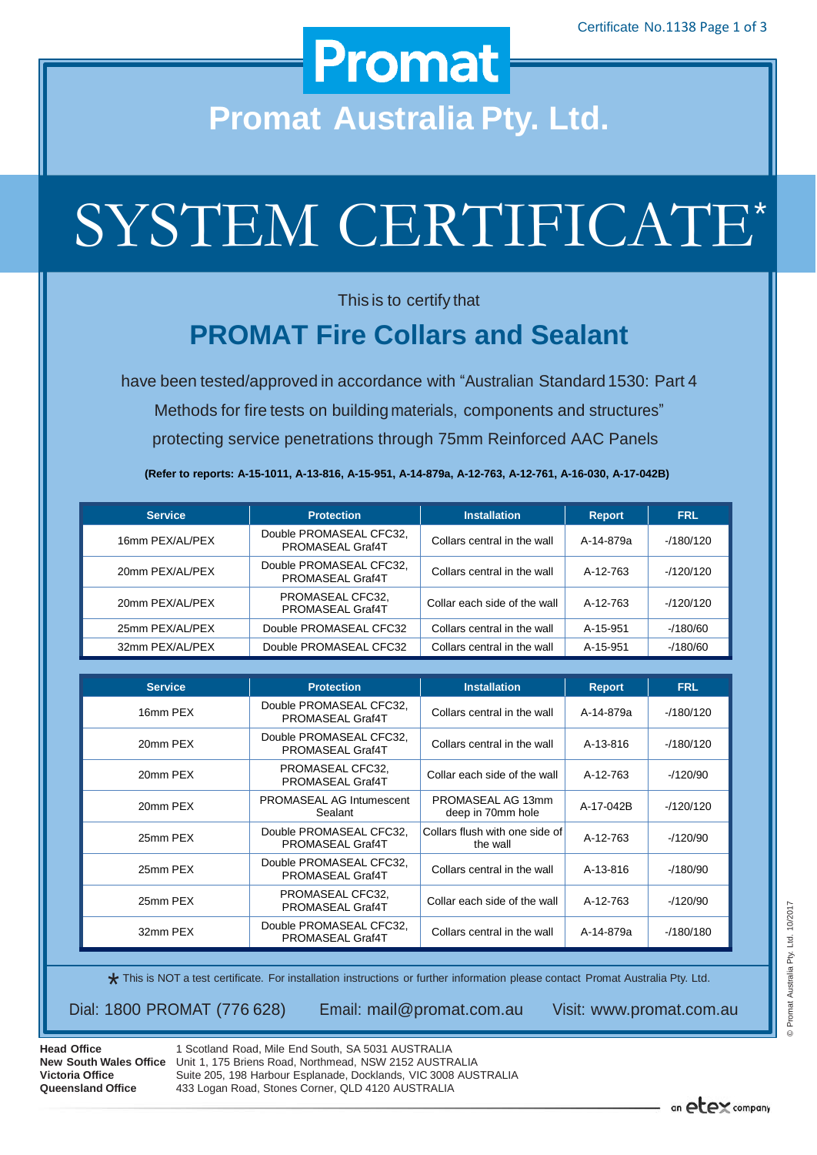### **Promat**

**Promat Australia Pty. Ltd.**

# SYSTEM CERTIFICATE\*

This is to certify that

#### **PROMAT Fire Collars and Sealant**

have been tested/approved in accordance with "Australian Standard 1530: Part 4 Methods for fire tests on building materials, components and structures" protecting service penetrations through 75mm Reinforced AAC Panels

**(Refer to reports: A-15-1011, A-13-816, A-15-951, A-14-879a, A-12-763, A-12-761, A-16-030, A-17-042B)**

| <b>Service</b>  | <b>Protection</b>                           | <b>Installation</b>          | <b>Report</b> | <b>FRL</b> |
|-----------------|---------------------------------------------|------------------------------|---------------|------------|
| 16mm PEX/AL/PEX | Double PROMASEAL CFC32,<br>PROMASEAL Graf4T | Collars central in the wall  | A-14-879a     | $-180/120$ |
| 20mm PEX/AL/PEX | Double PROMASEAL CFC32.<br>PROMASEAL Graf4T | Collars central in the wall  | A-12-763      | $-120/120$ |
| 20mm PEX/AL/PEX | PROMASEAL CFC32,<br>PROMASEAL Graf4T        | Collar each side of the wall | A-12-763      | $-120/120$ |
| 25mm PEX/AL/PEX | Double PROMASEAL CFC32                      | Collars central in the wall  | A-15-951      | $-180/60$  |
| 32mm PEX/AL/PEX | Double PROMASEAL CFC32                      | Collars central in the wall  | A-15-951      | $-180/60$  |

| <b>Service</b> | <b>Protection</b><br><b>Installation</b>    |                                            | <b>Report</b> | <b>FRL</b> |
|----------------|---------------------------------------------|--------------------------------------------|---------------|------------|
| 16mm PEX       | Double PROMASEAL CFC32,<br>PROMASEAL Graf4T | Collars central in the wall<br>A-14-879a   |               | $-180/120$ |
| 20mm PEX       | Double PROMASEAL CFC32,<br>PROMASEAL Graf4T | Collars central in the wall<br>A-13-816    |               | $-180/120$ |
| 20mm PEX       | PROMASEAL CFC32,<br>PROMASEAL Graf4T        | Collar each side of the wall               | A-12-763      | $-120/90$  |
| 20mm PEX       | <b>PROMASEAL AG Intumescent</b><br>Sealant  | PROMASEAL AG 13mm<br>deep in 70mm hole     | A-17-042B     | $-120/120$ |
| 25mm PEX       | Double PROMASEAL CFC32,<br>PROMASEAL Graf4T | Collars flush with one side of<br>the wall | A-12-763      | $-120/90$  |
| 25mm PEX       | Double PROMASEAL CFC32,<br>PROMASEAL Graf4T | Collars central in the wall                | A-13-816      | $-180/90$  |
| 25mm PEX       | PROMASEAL CFC32,<br>PROMASEAL Graf4T        | Collar each side of the wall               | A-12-763      | $-120/90$  |
| 32mm PEX       | Double PROMASEAL CFC32,<br>PROMASEAL Graf4T | Collars central in the wall                | A-14-879a     | $-180/180$ |

\* This is NOT a test certificate. For installation instructions or further information please contact Promat Australia Pty. Ltd.

Dial: 1800 PROMAT (776 628) Email: [mail@promat.com.au](mailto:mail@promat.com.au) Visit: [www.promat.com.au](http://www.promat.com.au/)

**Head Office Victoria Office Queensland Office**

**New South Wales Office**  Unit 1, 175 Briens Road, Northmead, NSW 2152 AUSTRALIA 1 Scotland Road, Mile End South, SA 5031 AUSTRALIA Suite 205, 198 Harbour Esplanade, Docklands, VIC 3008 AUSTRALIA 433 Logan Road, Stones Corner, QLD 4120 AUSTRALIA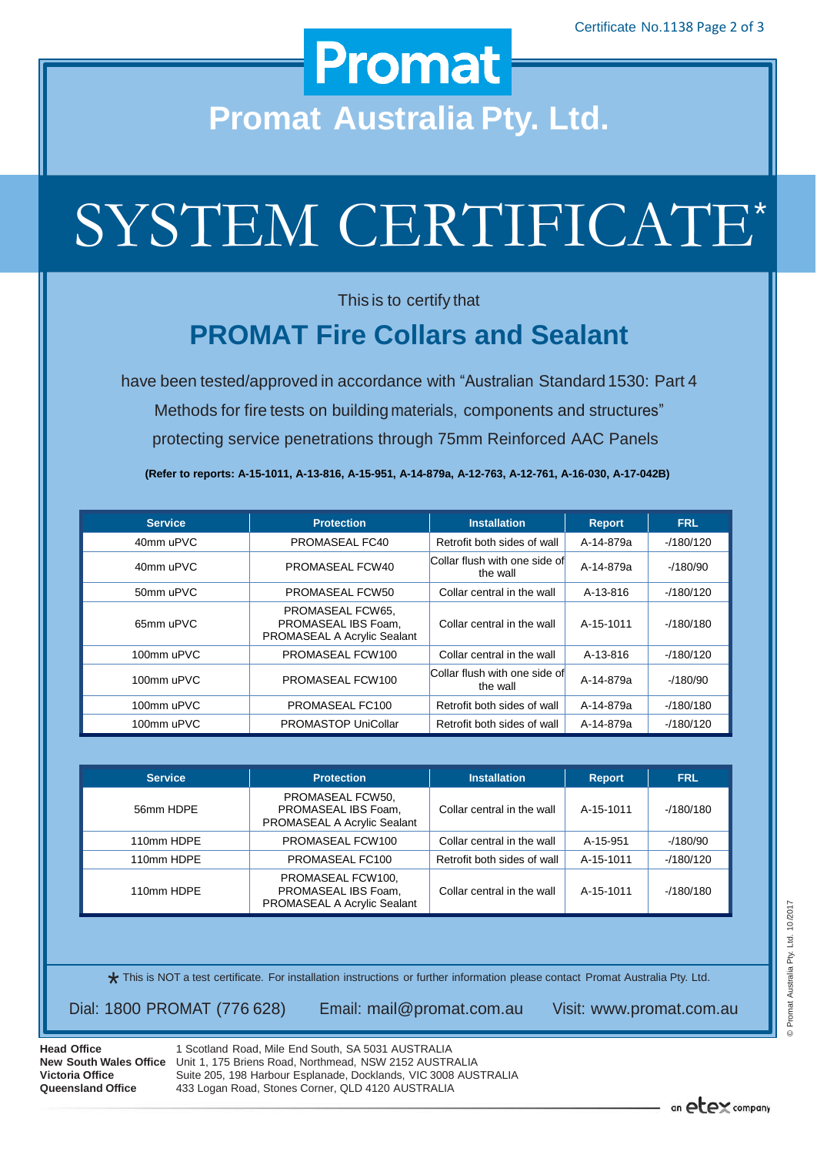### **Promat**

**Promat Australia Pty. Ltd.**

# SYSTEM CERTIFICATE\*

This is to certify that

#### **PROMAT Fire Collars and Sealant**

have been tested/approved in accordance with "Australian Standard 1530: Part 4 Methods for fire tests on building materials, components and structures" protecting service penetrations through 75mm Reinforced AAC Panels

**(Refer to reports: A-15-1011, A-13-816, A-15-951, A-14-879a, A-12-763, A-12-761, A-16-030, A-17-042B)**

| <b>Service</b> | <b>Protection</b><br><b>Installation</b>                               |                                                        | <b>Report</b> | <b>FRL</b> |
|----------------|------------------------------------------------------------------------|--------------------------------------------------------|---------------|------------|
| 40mm uPVC      | PROMASEAL FC40                                                         | Retrofit both sides of wall<br>A-14-879a               |               | $-180/120$ |
| 40mm uPVC      | PROMASEAL FCW40                                                        | Collar flush with one side of<br>A-14-879a<br>the wall |               | $-180/90$  |
| 50mm uPVC      | PROMASEAL FCW50                                                        | Collar central in the wall<br>A-13-816                 |               | $-180/120$ |
| 65mm uPVC      | PROMASEAL FCW65.<br>PROMASEAL IBS Foam.<br>PROMASEAL A Acrylic Sealant | Collar central in the wall<br>A-15-1011                |               | $-180/180$ |
| 100mm uPVC     | PROMASEAL FCW100                                                       | Collar central in the wall<br>A-13-816                 |               | $-180/120$ |
| 100mm uPVC     | PROMASEAL FCW100                                                       | Collar flush with one side of<br>A-14-879a<br>the wall |               | $-180/90$  |
| 100mm uPVC     | PROMASEAL FC100                                                        | Retrofit both sides of wall<br>A-14-879a               |               | $-180/180$ |
| 100mm uPVC     | <b>PROMASTOP UniCollar</b>                                             | Retrofit both sides of wall                            | A-14-879a     | $-180/120$ |

| <b>Service</b> | <b>Installation</b><br><b>Protection</b>                                |                             | <b>Report</b> | <b>FRL</b> |
|----------------|-------------------------------------------------------------------------|-----------------------------|---------------|------------|
| 56mm HDPE      | PROMASEAL FCW50,<br>PROMASEAL IBS Foam.<br>PROMASEAL A Acrylic Sealant  | Collar central in the wall  | A-15-1011     | $-180/180$ |
| 110mm HDPE     | PROMASEAL FCW100                                                        | Collar central in the wall  | A-15-951      | $-180/90$  |
| 110mm HDPE     | PROMASEAL FC100                                                         | Retrofit both sides of wall | A-15-1011     | $-180/120$ |
| 110mm HDPE     | PROMASEAL FCW100,<br>PROMASEAL IBS Foam,<br>PROMASEAL A Acrylic Sealant | Collar central in the wall  | A-15-1011     | $-180/180$ |

\* This is NOT a test certificate. For installation instructions or further information please contact Promat Australia Pty. Ltd.

Dial: 1800 PROMAT (776 628) Email: [mail@promat.com.au](mailto:mail@promat.com.au) Visit: [www.promat.com.au](http://www.promat.com.au/)

**Head Office Victoria Office Queensland Office**

**New South Wales Office**  Unit 1, 175 Briens Road, Northmead, NSW 2152 AUSTRALIA 1 Scotland Road, Mile End South, SA 5031 AUSTRALIA Suite 205, 198 Harbour Esplanade, Docklands, VIC 3008 AUSTRALIA 433 Logan Road, Stones Corner, QLD 4120 AUSTRALIA